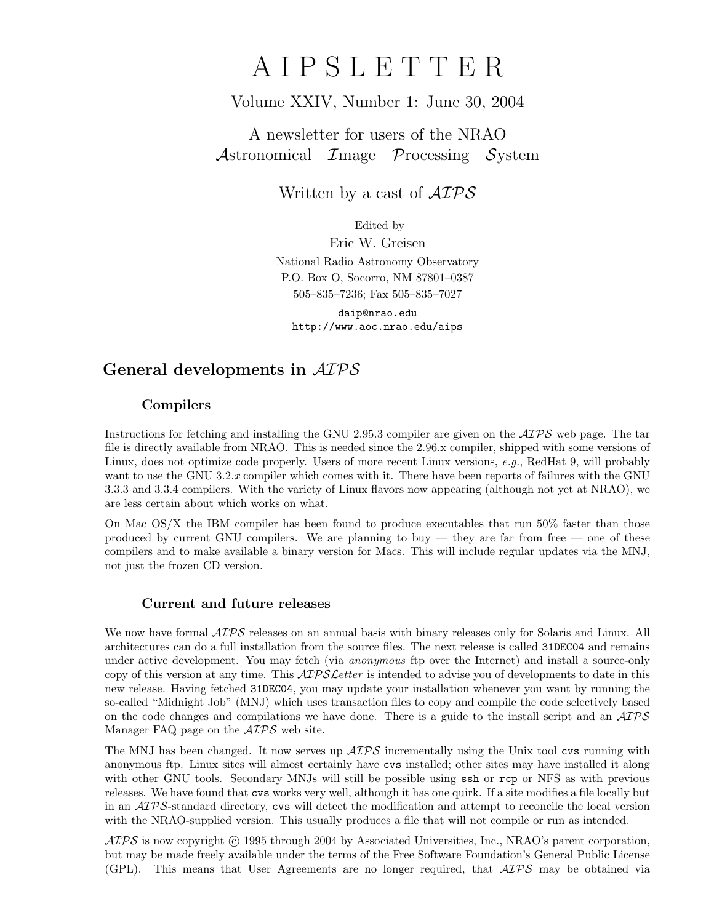# A I P S L E T T E R

# Volume XXIV, Number 1: June 30, 2004

# A newsletter for users of the NRAO Astronomical Image Processing System

Written by a cast of  $\mathcal{AIPS}$ 

Edited by

Eric W. Greisen National Radio Astronomy Observatory P.O. Box O, Socorro, NM 87801–0387 505–835–7236; Fax 505–835–7027

daip@nrao.edu http://www.aoc.nrao.edu/aips

# General developments in AIPS

## Compilers

Instructions for fetching and installing the GNU 2.95.3 compiler are given on the  $\mathcal{AIPS}$  web page. The tar file is directly available from NRAO. This is needed since the 2.96.x compiler, shipped with some versions of Linux, does not optimize code properly. Users of more recent Linux versions, e.g., RedHat 9, will probably want to use the GNU 3.2.x compiler which comes with it. There have been reports of failures with the GNU 3.3.3 and 3.3.4 compilers. With the variety of Linux flavors now appearing (although not yet at NRAO), we are less certain about which works on what.

On Mac OS/X the IBM compiler has been found to produce executables that run 50% faster than those produced by current GNU compilers. We are planning to buy — they are far from free — one of these compilers and to make available a binary version for Macs. This will include regular updates via the MNJ, not just the frozen CD version.

## Current and future releases

We now have formal  $\mathcal{AIPS}$  releases on an annual basis with binary releases only for Solaris and Linux. All architectures can do a full installation from the source files. The next release is called 31DEC04 and remains under active development. You may fetch (via *anonymous* ftp over the Internet) and install a source-only copy of this version at any time. This  $\mathcal{A}TPS\mathcal{L}etter$  is intended to advise you of developments to date in this new release. Having fetched 31DEC04, you may update your installation whenever you want by running the so-called "Midnight Job" (MNJ) which uses transaction files to copy and compile the code selectively based on the code changes and compilations we have done. There is a guide to the install script and an  $\mathcal{AIPS}$ Manager FAQ page on the  $\mathcal{AIPS}$  web site.

The MNJ has been changed. It now serves up  $\mathcal{AIPS}$  incrementally using the Unix tool cvs running with anonymous ftp. Linux sites will almost certainly have cvs installed; other sites may have installed it along with other GNU tools. Secondary MNJs will still be possible using ssh or rcp or NFS as with previous releases. We have found that cvs works very well, although it has one quirk. If a site modifies a file locally but in an  $\mathcal{A} \mathcal{I} \mathcal{P} \mathcal{S}$ -standard directory, cvs will detect the modification and attempt to reconcile the local version with the NRAO-supplied version. This usually produces a file that will not compile or run as intended.

 $ATPS$  is now copyright  $\odot$  1995 through 2004 by Associated Universities, Inc., NRAO's parent corporation, but may be made freely available under the terms of the Free Software Foundation's General Public License (GPL). This means that User Agreements are no longer required, that  $\mathcal{AIPS}$  may be obtained via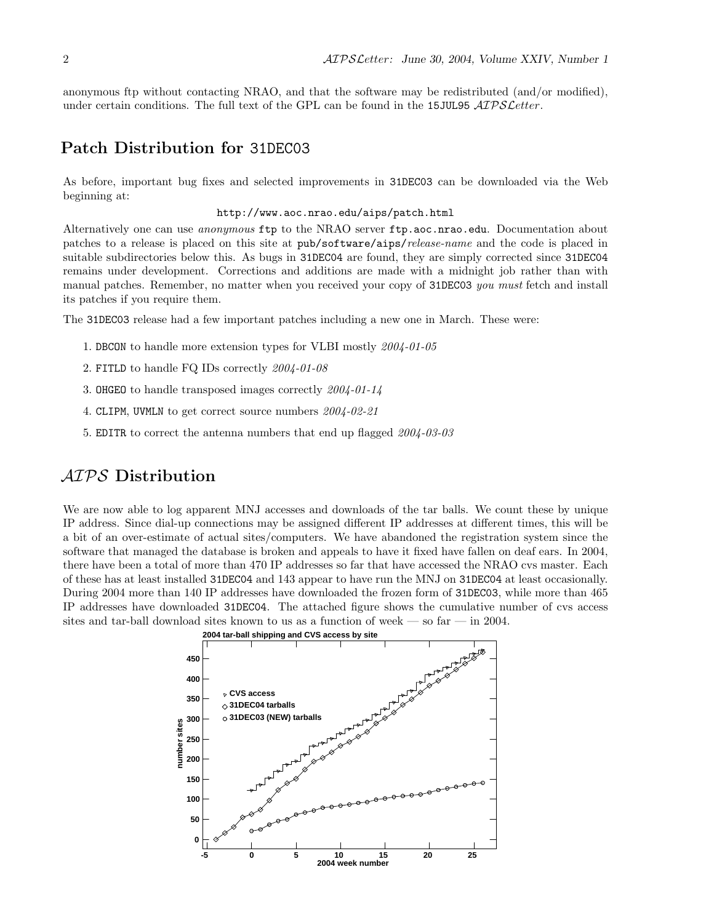anonymous ftp without contacting NRAO, and that the software may be redistributed (and/or modified), under certain conditions. The full text of the GPL can be found in the 15JUL95  $\mathcal{AIPSLetter}$ .

# Patch Distribution for 31DEC03

As before, important bug fixes and selected improvements in 31DEC03 can be downloaded via the Web beginning at:

#### http://www.aoc.nrao.edu/aips/patch.html

Alternatively one can use *anonymous* ftp to the NRAO server ftp.aoc.nrao.edu. Documentation about patches to a release is placed on this site at pub/software/aips/release-name and the code is placed in suitable subdirectories below this. As bugs in 31DEC04 are found, they are simply corrected since 31DEC04 remains under development. Corrections and additions are made with a midnight job rather than with manual patches. Remember, no matter when you received your copy of 31DEC03 you must fetch and install its patches if you require them.

The 31DEC03 release had a few important patches including a new one in March. These were:

- 1. DBCON to handle more extension types for VLBI mostly 2004-01-05
- 2. FITLD to handle FQ IDs correctly 2004-01-08
- 3. OHGEO to handle transposed images correctly 2004-01-14
- 4. CLIPM, UVMLN to get correct source numbers 2004-02-21
- 5. EDITR to correct the antenna numbers that end up flagged 2004-03-03

# AIPS Distribution

We are now able to log apparent MNJ accesses and downloads of the tar balls. We count these by unique IP address. Since dial-up connections may be assigned different IP addresses at different times, this will be a bit of an over-estimate of actual sites/computers. We have abandoned the registration system since the software that managed the database is broken and appeals to have it fixed have fallen on deaf ears. In 2004, there have been a total of more than 470 IP addresses so far that have accessed the NRAO cvs master. Each of these has at least installed 31DEC04 and 143 appear to have run the MNJ on 31DEC04 at least occasionally. During 2004 more than 140 IP addresses have downloaded the frozen form of 31DEC03, while more than 465 IP addresses have downloaded 31DEC04. The attached figure shows the cumulative number of cvs access sites and tar-ball download sites known to us as a function of week — so far — in 2004.

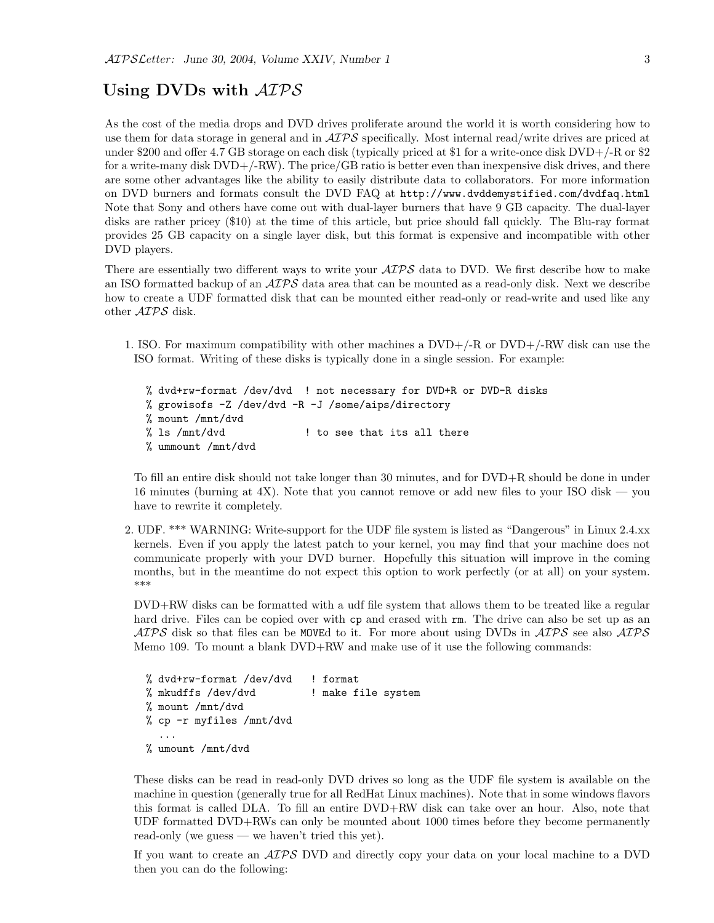# Using DVDs with  $\mathcal{AIPS}$

As the cost of the media drops and DVD drives proliferate around the world it is worth considering how to use them for data storage in general and in  $\mathcal{AIPS}$  specifically. Most internal read/write drives are priced at under \$200 and offer 4.7 GB storage on each disk (typically priced at \$1 for a write-once disk DVD+/-R or \$2 for a write-many disk  $DVD+/-RW$ ). The price/GB ratio is better even than inexpensive disk drives, and there are some other advantages like the ability to easily distribute data to collaborators. For more information on DVD burners and formats consult the DVD FAQ at http://www.dvddemystified.com/dvdfaq.html Note that Sony and others have come out with dual-layer burners that have 9 GB capacity. The dual-layer disks are rather pricey (\$10) at the time of this article, but price should fall quickly. The Blu-ray format provides 25 GB capacity on a single layer disk, but this format is expensive and incompatible with other DVD players.

There are essentially two different ways to write your  $\mathcal{AIPS}$  data to DVD. We first describe how to make an ISO formatted backup of an  $\mathcal{AIPS}$  data area that can be mounted as a read-only disk. Next we describe how to create a UDF formatted disk that can be mounted either read-only or read-write and used like any other AIPS disk.

1. ISO. For maximum compatibility with other machines a DVD+/-R or DVD+/-RW disk can use the ISO format. Writing of these disks is typically done in a single session. For example:

% dvd+rw-format /dev/dvd ! not necessary for DVD+R or DVD-R disks % growisofs -Z /dev/dvd -R -J /some/aips/directory % mount /mnt/dvd % ls /mnt/dvd  $\qquad \qquad$  ! to see that its all there % ummount /mnt/dvd

To fill an entire disk should not take longer than 30 minutes, and for DVD+R should be done in under 16 minutes (burning at 4X). Note that you cannot remove or add new files to your ISO disk — you have to rewrite it completely.

2. UDF. \*\*\* WARNING: Write-support for the UDF file system is listed as "Dangerous" in Linux 2.4.xx kernels. Even if you apply the latest patch to your kernel, you may find that your machine does not communicate properly with your DVD burner. Hopefully this situation will improve in the coming months, but in the meantime do not expect this option to work perfectly (or at all) on your system. \*\*\*

DVD+RW disks can be formatted with a udf file system that allows them to be treated like a regular hard drive. Files can be copied over with cp and erased with rm. The drive can also be set up as an  $ATPS$  disk so that files can be MOVEd to it. For more about using DVDs in  $ATPS$  see also  $ATPS$ Memo 109. To mount a blank DVD+RW and make use of it use the following commands:

```
% dvd+rw-format /dev/dvd ! format
% mkudffs /dev/dvd | make file system
% mount /mnt/dvd
% cp -r myfiles /mnt/dvd
  ...
% umount /mnt/dvd
```
These disks can be read in read-only DVD drives so long as the UDF file system is available on the machine in question (generally true for all RedHat Linux machines). Note that in some windows flavors this format is called DLA. To fill an entire DVD+RW disk can take over an hour. Also, note that UDF formatted DVD+RWs can only be mounted about 1000 times before they become permanently read-only (we guess — we haven't tried this yet).

If you want to create an AIPS DVD and directly copy your data on your local machine to a DVD then you can do the following: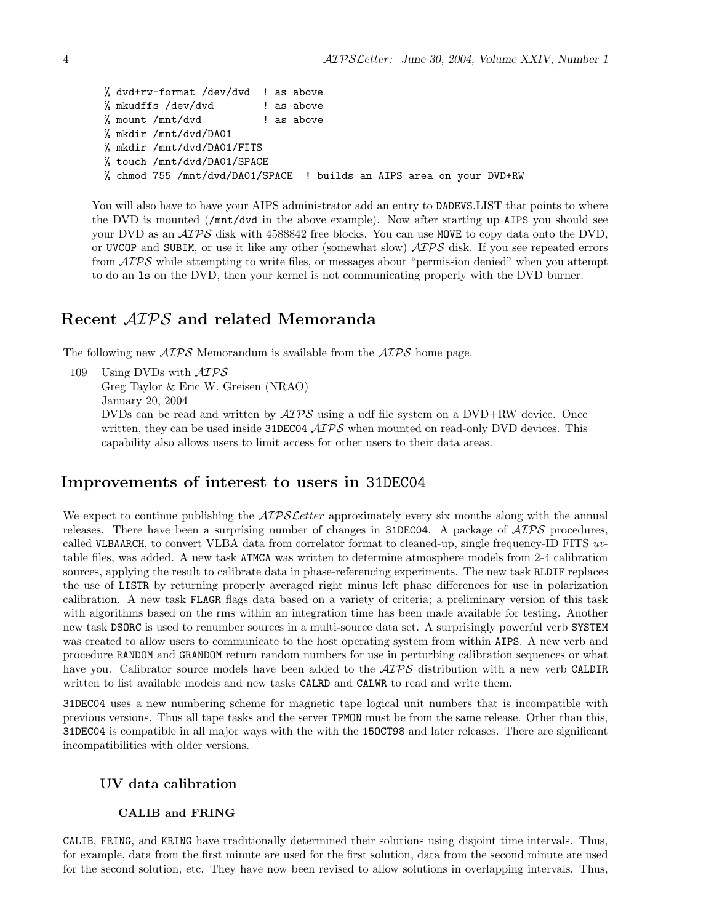```
% dvd+rw-format /dev/dvd ! as above
% mkudffs /dev/dvd \qquad! as above
% mount /mnt/dvd ! as above
% mkdir /mnt/dvd/DA01
% mkdir /mnt/dvd/DA01/FITS
% touch /mnt/dvd/DA01/SPACE
% chmod 755 /mnt/dvd/DA01/SPACE ! builds an AIPS area on your DVD+RW
```
You will also have to have your AIPS administrator add an entry to DADEVS.LIST that points to where the DVD is mounted (/mnt/dvd in the above example). Now after starting up AIPS you should see your DVD as an  $\mathcal{AIPS}$  disk with 4588842 free blocks. You can use MOVE to copy data onto the DVD, or UVCOP and SUBIM, or use it like any other (somewhat slow)  $\mathcal{AIPS}$  disk. If you see repeated errors from  $\mathcal{AIPS}$  while attempting to write files, or messages about "permission denied" when you attempt to do an ls on the DVD, then your kernel is not communicating properly with the DVD burner.

# Recent AIPS and related Memoranda

The following new  $\mathcal{AIPS}$  Memorandum is available from the  $\mathcal{AIPS}$  home page.

```
109 Using DVDs with \mathcal{AIPS}Greg Taylor & Eric W. Greisen (NRAO)
      January 20, 2004
      DVDs can be read and written by \mathcal{AIPS} using a udf file system on a DVD+RW device. Once
      written, they can be used inside 31DEC04 \mathcal{AIPS} when mounted on read-only DVD devices. This
      capability also allows users to limit access for other users to their data areas.
```
# Improvements of interest to users in 31DEC04

We expect to continue publishing the *AIPS Letter* approximately every six months along with the annual releases. There have been a surprising number of changes in 31DEC04. A package of  $\mathcal{AIPS}$  procedures, called VLBAARCH, to convert VLBA data from correlator format to cleaned-up, single frequency-ID FITS uvtable files, was added. A new task ATMCA was written to determine atmosphere models from 2-4 calibration sources, applying the result to calibrate data in phase-referencing experiments. The new task RLDIF replaces the use of LISTR by returning properly averaged right minus left phase differences for use in polarization calibration. A new task FLAGR flags data based on a variety of criteria; a preliminary version of this task with algorithms based on the rms within an integration time has been made available for testing. Another new task DSORC is used to renumber sources in a multi-source data set. A surprisingly powerful verb SYSTEM was created to allow users to communicate to the host operating system from within AIPS. A new verb and procedure RANDOM and GRANDOM return random numbers for use in perturbing calibration sequences or what have you. Calibrator source models have been added to the  $\mathcal{AIPS}$  distribution with a new verb CALDIR written to list available models and new tasks CALRD and CALWR to read and write them.

31DEC04 uses a new numbering scheme for magnetic tape logical unit numbers that is incompatible with previous versions. Thus all tape tasks and the server TPMON must be from the same release. Other than this, 31DEC04 is compatible in all major ways with the with the 15OCT98 and later releases. There are significant incompatibilities with older versions.

## UV data calibration

#### CALIB and FRING

CALIB, FRING, and KRING have traditionally determined their solutions using disjoint time intervals. Thus, for example, data from the first minute are used for the first solution, data from the second minute are used for the second solution, etc. They have now been revised to allow solutions in overlapping intervals. Thus,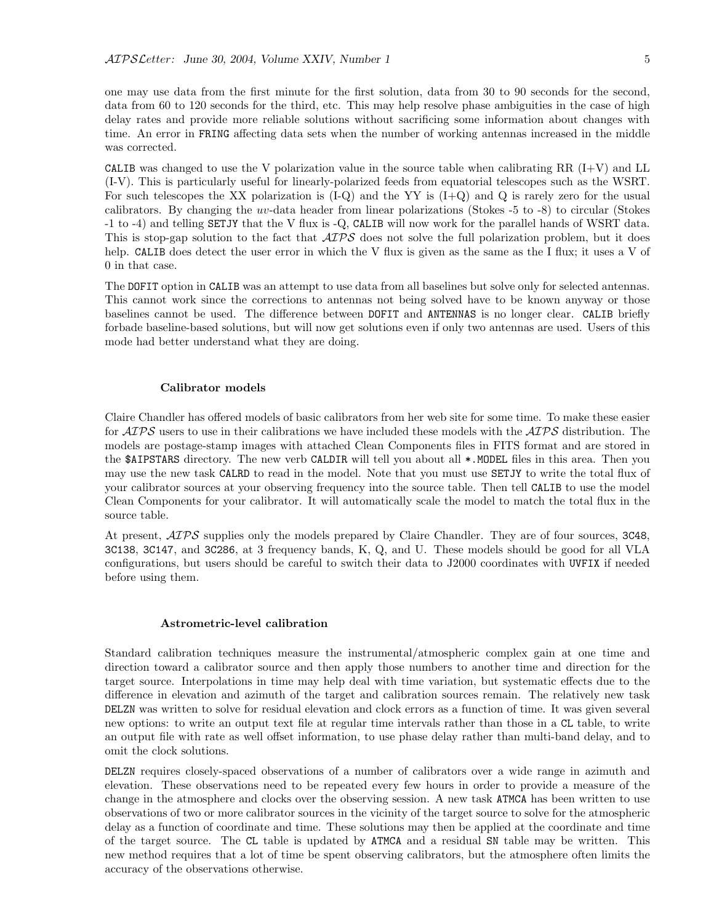one may use data from the first minute for the first solution, data from 30 to 90 seconds for the second, data from 60 to 120 seconds for the third, etc. This may help resolve phase ambiguities in the case of high delay rates and provide more reliable solutions without sacrificing some information about changes with time. An error in FRING affecting data sets when the number of working antennas increased in the middle was corrected.

CALIB was changed to use the V polarization value in the source table when calibrating RR  $(I+V)$  and LL (I-V). This is particularly useful for linearly-polarized feeds from equatorial telescopes such as the WSRT. For such telescopes the XX polarization is  $(I-Q)$  and the YY is  $(I+Q)$  and Q is rarely zero for the usual calibrators. By changing the uv-data header from linear polarizations (Stokes -5 to -8) to circular (Stokes -1 to -4) and telling SETJY that the V flux is -Q, CALIB will now work for the parallel hands of WSRT data. This is stop-gap solution to the fact that  $\mathcal{AIPS}$  does not solve the full polarization problem, but it does help. CALIB does detect the user error in which the V flux is given as the same as the I flux; it uses a V of 0 in that case.

The DOFIT option in CALIB was an attempt to use data from all baselines but solve only for selected antennas. This cannot work since the corrections to antennas not being solved have to be known anyway or those baselines cannot be used. The difference between DOFIT and ANTENNAS is no longer clear. CALIB briefly forbade baseline-based solutions, but will now get solutions even if only two antennas are used. Users of this mode had better understand what they are doing.

#### Calibrator models

Claire Chandler has offered models of basic calibrators from her web site for some time. To make these easier for  $\mathcal{AIPS}$  users to use in their calibrations we have included these models with the  $\mathcal{AIPS}$  distribution. The models are postage-stamp images with attached Clean Components files in FITS format and are stored in the \$AIPSTARS directory. The new verb CALDIR will tell you about all \*.MODEL files in this area. Then you may use the new task CALRD to read in the model. Note that you must use SETJY to write the total flux of your calibrator sources at your observing frequency into the source table. Then tell CALIB to use the model Clean Components for your calibrator. It will automatically scale the model to match the total flux in the source table.

At present,  $\mathcal{AIPS}$  supplies only the models prepared by Claire Chandler. They are of four sources, 3C48, 3C138, 3C147, and 3C286, at 3 frequency bands, K, Q, and U. These models should be good for all VLA configurations, but users should be careful to switch their data to J2000 coordinates with UVFIX if needed before using them.

#### Astrometric-level calibration

Standard calibration techniques measure the instrumental/atmospheric complex gain at one time and direction toward a calibrator source and then apply those numbers to another time and direction for the target source. Interpolations in time may help deal with time variation, but systematic effects due to the difference in elevation and azimuth of the target and calibration sources remain. The relatively new task DELZN was written to solve for residual elevation and clock errors as a function of time. It was given several new options: to write an output text file at regular time intervals rather than those in a CL table, to write an output file with rate as well offset information, to use phase delay rather than multi-band delay, and to omit the clock solutions.

DELZN requires closely-spaced observations of a number of calibrators over a wide range in azimuth and elevation. These observations need to be repeated every few hours in order to provide a measure of the change in the atmosphere and clocks over the observing session. A new task ATMCA has been written to use observations of two or more calibrator sources in the vicinity of the target source to solve for the atmospheric delay as a function of coordinate and time. These solutions may then be applied at the coordinate and time of the target source. The CL table is updated by ATMCA and a residual SN table may be written. This new method requires that a lot of time be spent observing calibrators, but the atmosphere often limits the accuracy of the observations otherwise.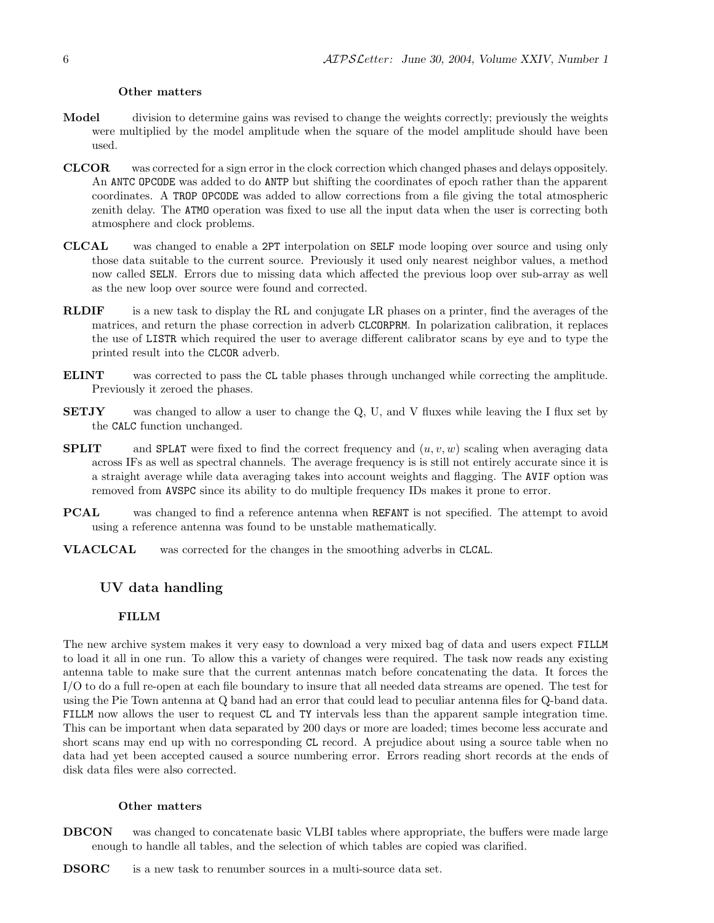#### Other matters

- Model division to determine gains was revised to change the weights correctly; previously the weights were multiplied by the model amplitude when the square of the model amplitude should have been used.
- CLCOR was corrected for a sign error in the clock correction which changed phases and delays oppositely. An ANTC OPCODE was added to do ANTP but shifting the coordinates of epoch rather than the apparent coordinates. A TROP OPCODE was added to allow corrections from a file giving the total atmospheric zenith delay. The ATMO operation was fixed to use all the input data when the user is correcting both atmosphere and clock problems.
- CLCAL was changed to enable a 2PT interpolation on SELF mode looping over source and using only those data suitable to the current source. Previously it used only nearest neighbor values, a method now called SELN. Errors due to missing data which affected the previous loop over sub-array as well as the new loop over source were found and corrected.
- RLDIF is a new task to display the RL and conjugate LR phases on a printer, find the averages of the matrices, and return the phase correction in adverb CLCORPRM. In polarization calibration, it replaces the use of LISTR which required the user to average different calibrator scans by eye and to type the printed result into the CLCOR adverb.
- ELINT was corrected to pass the CL table phases through unchanged while correcting the amplitude. Previously it zeroed the phases.
- SETJY was changed to allow a user to change the Q, U, and V fluxes while leaving the I flux set by the CALC function unchanged.
- **SPLIT** and SPLAT were fixed to find the correct frequency and  $(u, v, w)$  scaling when averaging data across IFs as well as spectral channels. The average frequency is is still not entirely accurate since it is a straight average while data averaging takes into account weights and flagging. The AVIF option was removed from AVSPC since its ability to do multiple frequency IDs makes it prone to error.
- PCAL was changed to find a reference antenna when REFANT is not specified. The attempt to avoid using a reference antenna was found to be unstable mathematically.
- VLACLCAL was corrected for the changes in the smoothing adverbs in CLCAL.

#### UV data handling

## FILLM

The new archive system makes it very easy to download a very mixed bag of data and users expect FILLM to load it all in one run. To allow this a variety of changes were required. The task now reads any existing antenna table to make sure that the current antennas match before concatenating the data. It forces the I/O to do a full re-open at each file boundary to insure that all needed data streams are opened. The test for using the Pie Town antenna at Q band had an error that could lead to peculiar antenna files for Q-band data. FILLM now allows the user to request CL and TY intervals less than the apparent sample integration time. This can be important when data separated by 200 days or more are loaded; times become less accurate and short scans may end up with no corresponding CL record. A prejudice about using a source table when no data had yet been accepted caused a source numbering error. Errors reading short records at the ends of disk data files were also corrected.

#### Other matters

DBCON was changed to concatenate basic VLBI tables where appropriate, the buffers were made large enough to handle all tables, and the selection of which tables are copied was clarified.

DSORC is a new task to renumber sources in a multi-source data set.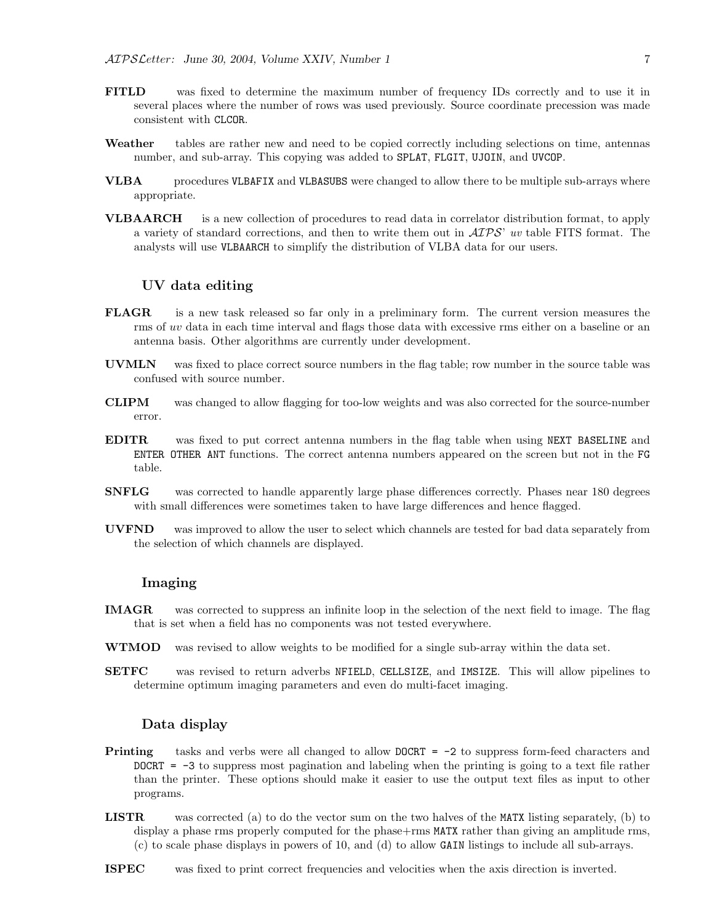- FITLD was fixed to determine the maximum number of frequency IDs correctly and to use it in several places where the number of rows was used previously. Source coordinate precession was made consistent with CLCOR.
- Weather tables are rather new and need to be copied correctly including selections on time, antennas number, and sub-array. This copying was added to SPLAT, FLGIT, UJOIN, and UVCOP.
- VLBA procedures VLBAFIX and VLBASUBS were changed to allow there to be multiple sub-arrays where appropriate.
- VLBAARCH is a new collection of procedures to read data in correlator distribution format, to apply a variety of standard corrections, and then to write them out in  $\mathcal{AIPS}$  uv table FITS format. The analysts will use VLBAARCH to simplify the distribution of VLBA data for our users.

## UV data editing

- FLAGR is a new task released so far only in a preliminary form. The current version measures the rms of uv data in each time interval and flags those data with excessive rms either on a baseline or an antenna basis. Other algorithms are currently under development.
- UVMLN was fixed to place correct source numbers in the flag table; row number in the source table was confused with source number.
- CLIPM was changed to allow flagging for too-low weights and was also corrected for the source-number error.
- EDITR was fixed to put correct antenna numbers in the flag table when using NEXT BASELINE and ENTER OTHER ANT functions. The correct antenna numbers appeared on the screen but not in the FG table.
- SNFLG was corrected to handle apparently large phase differences correctly. Phases near 180 degrees with small differences were sometimes taken to have large differences and hence flagged.
- UVFND was improved to allow the user to select which channels are tested for bad data separately from the selection of which channels are displayed.

## Imaging

- IMAGR was corrected to suppress an infinite loop in the selection of the next field to image. The flag that is set when a field has no components was not tested everywhere.
- WTMOD was revised to allow weights to be modified for a single sub-array within the data set.
- SETFC was revised to return adverbs NFIELD, CELLSIZE, and IMSIZE. This will allow pipelines to determine optimum imaging parameters and even do multi-facet imaging.

## Data display

- **Printing** tasks and verbs were all changed to allow  $DOCRT = -2$  to suppress form-feed characters and  $DOCRT = -3$  to suppress most pagination and labeling when the printing is going to a text file rather than the printer. These options should make it easier to use the output text files as input to other programs.
- LISTR was corrected (a) to do the vector sum on the two halves of the MATX listing separately, (b) to display a phase rms properly computed for the phase+rms MATX rather than giving an amplitude rms, (c) to scale phase displays in powers of 10, and (d) to allow GAIN listings to include all sub-arrays.
- ISPEC was fixed to print correct frequencies and velocities when the axis direction is inverted.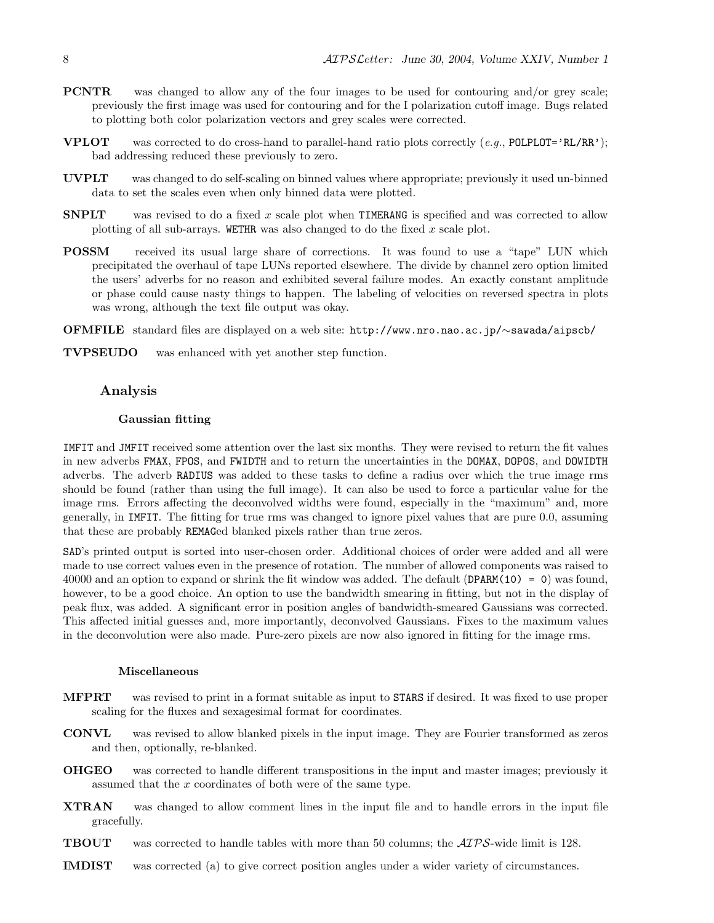- PCNTR was changed to allow any of the four images to be used for contouring and/or grey scale; previously the first image was used for contouring and for the I polarization cutoff image. Bugs related to plotting both color polarization vectors and grey scales were corrected.
- **VPLOT** was corrected to do cross-hand to parallel-hand ratio plots correctly  $(e, q, \text{ POLPLOT} = 'RL/RR')$ ; bad addressing reduced these previously to zero.
- UVPLT was changed to do self-scaling on binned values where appropriate; previously it used un-binned data to set the scales even when only binned data were plotted.
- **SNPLT** was revised to do a fixed x scale plot when **TIMERANG** is specified and was corrected to allow plotting of all sub-arrays. WETHR was also changed to do the fixed  $x$  scale plot.
- POSSM received its usual large share of corrections. It was found to use a "tape" LUN which precipitated the overhaul of tape LUNs reported elsewhere. The divide by channel zero option limited the users' adverbs for no reason and exhibited several failure modes. An exactly constant amplitude or phase could cause nasty things to happen. The labeling of velocities on reversed spectra in plots was wrong, although the text file output was okay.
- OFMFILE standard files are displayed on a web site: http://www.nro.nao.ac.jp/∼sawada/aipscb/

TVPSEUDO was enhanced with yet another step function.

## Analysis

#### Gaussian fitting

IMFIT and JMFIT received some attention over the last six months. They were revised to return the fit values in new adverbs FMAX, FPOS, and FWIDTH and to return the uncertainties in the DOMAX, DOPOS, and DOWIDTH adverbs. The adverb RADIUS was added to these tasks to define a radius over which the true image rms should be found (rather than using the full image). It can also be used to force a particular value for the image rms. Errors affecting the deconvolved widths were found, especially in the "maximum" and, more generally, in IMFIT. The fitting for true rms was changed to ignore pixel values that are pure 0.0, assuming that these are probably REMAGed blanked pixels rather than true zeros.

SAD's printed output is sorted into user-chosen order. Additional choices of order were added and all were made to use correct values even in the presence of rotation. The number of allowed components was raised to 40000 and an option to expand or shrink the fit window was added. The default (DPARM(10) = 0) was found, however, to be a good choice. An option to use the bandwidth smearing in fitting, but not in the display of peak flux, was added. A significant error in position angles of bandwidth-smeared Gaussians was corrected. This affected initial guesses and, more importantly, deconvolved Gaussians. Fixes to the maximum values in the deconvolution were also made. Pure-zero pixels are now also ignored in fitting for the image rms.

#### Miscellaneous

- MFPRT was revised to print in a format suitable as input to STARS if desired. It was fixed to use proper scaling for the fluxes and sexagesimal format for coordinates.
- CONVL was revised to allow blanked pixels in the input image. They are Fourier transformed as zeros and then, optionally, re-blanked.
- OHGEO was corrected to handle different transpositions in the input and master images; previously it assumed that the x coordinates of both were of the same type.
- XTRAN was changed to allow comment lines in the input file and to handle errors in the input file gracefully.
- TBOUT was corrected to handle tables with more than 50 columns; the AIPS-wide limit is 128.
- IMDIST was corrected (a) to give correct position angles under a wider variety of circumstances.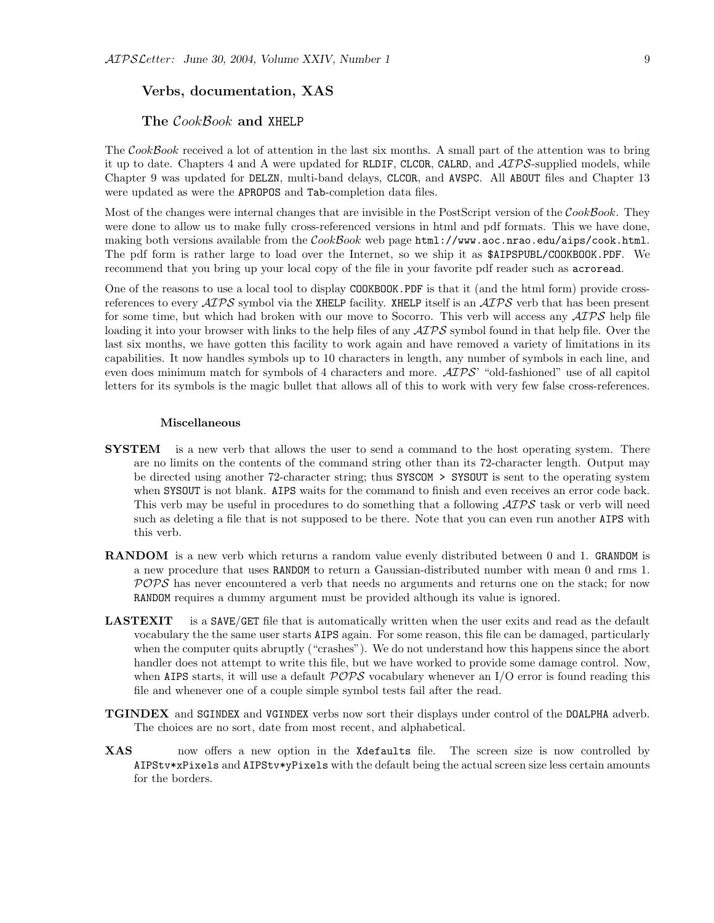## Verbs, documentation, XAS

## The CookBook and XHELP

The CookBook received a lot of attention in the last six months. A small part of the attention was to bring it up to date. Chapters 4 and A were updated for RLDIF, CLCOR, CALRD, and  $\mathcal{AIPS}$ -supplied models, while Chapter 9 was updated for DELZN, multi-band delays, CLCOR, and AVSPC. All ABOUT files and Chapter 13 were updated as were the APROPOS and Tab-completion data files.

Most of the changes were internal changes that are invisible in the PostScript version of the CookBook. They were done to allow us to make fully cross-referenced versions in html and pdf formats. This we have done, making both versions available from the  $\mathcal{C}ook\mathcal{B}ook$  web page  $\text{html}$ ://www.aoc.nrao.edu/aips/cook.html. The pdf form is rather large to load over the Internet, so we ship it as \$AIPSPUBL/COOKBOOK.PDF. We recommend that you bring up your local copy of the file in your favorite pdf reader such as acroread.

One of the reasons to use a local tool to display COOKBOOK.PDF is that it (and the html form) provide crossreferences to every  $\mathcal{AIPS}$  symbol via the XHELP facility. XHELP itself is an  $\mathcal{AIPS}$  verb that has been present for some time, but which had broken with our move to Socorro. This verb will access any  $\mathcal{AIPS}$  help file loading it into your browser with links to the help files of any  $\mathcal{AIPS}$  symbol found in that help file. Over the last six months, we have gotten this facility to work again and have removed a variety of limitations in its capabilities. It now handles symbols up to 10 characters in length, any number of symbols in each line, and even does minimum match for symbols of 4 characters and more.  $\mathcal{AIPS}$  "old-fashioned" use of all capitol letters for its symbols is the magic bullet that allows all of this to work with very few false cross-references.

#### Miscellaneous

- **SYSTEM** is a new verb that allows the user to send a command to the host operating system. There are no limits on the contents of the command string other than its 72-character length. Output may be directed using another 72-character string; thus SYSCOM > SYSOUT is sent to the operating system when SYSOUT is not blank. AIPS waits for the command to finish and even receives an error code back. This verb may be useful in procedures to do something that a following  $\mathcal{ATPS}$  task or verb will need such as deleting a file that is not supposed to be there. Note that you can even run another AIPS with this verb.
- RANDOM is a new verb which returns a random value evenly distributed between 0 and 1. GRANDOM is a new procedure that uses RANDOM to return a Gaussian-distributed number with mean 0 and rms 1.  $POPS$  has never encountered a verb that needs no arguments and returns one on the stack; for now RANDOM requires a dummy argument must be provided although its value is ignored.
- LASTEXIT is a SAVE/GET file that is automatically written when the user exits and read as the default vocabulary the the same user starts AIPS again. For some reason, this file can be damaged, particularly when the computer quits abruptly ("crashes"). We do not understand how this happens since the abort handler does not attempt to write this file, but we have worked to provide some damage control. Now, when AIPS starts, it will use a default  $POPS$  vocabulary whenever an I/O error is found reading this file and whenever one of a couple simple symbol tests fail after the read.
- TGINDEX and SGINDEX and VGINDEX verbs now sort their displays under control of the DOALPHA adverb. The choices are no sort, date from most recent, and alphabetical.
- XAS now offers a new option in the Xdefaults file. The screen size is now controlled by AIPStv\*xPixels and AIPStv\*yPixels with the default being the actual screen size less certain amounts for the borders.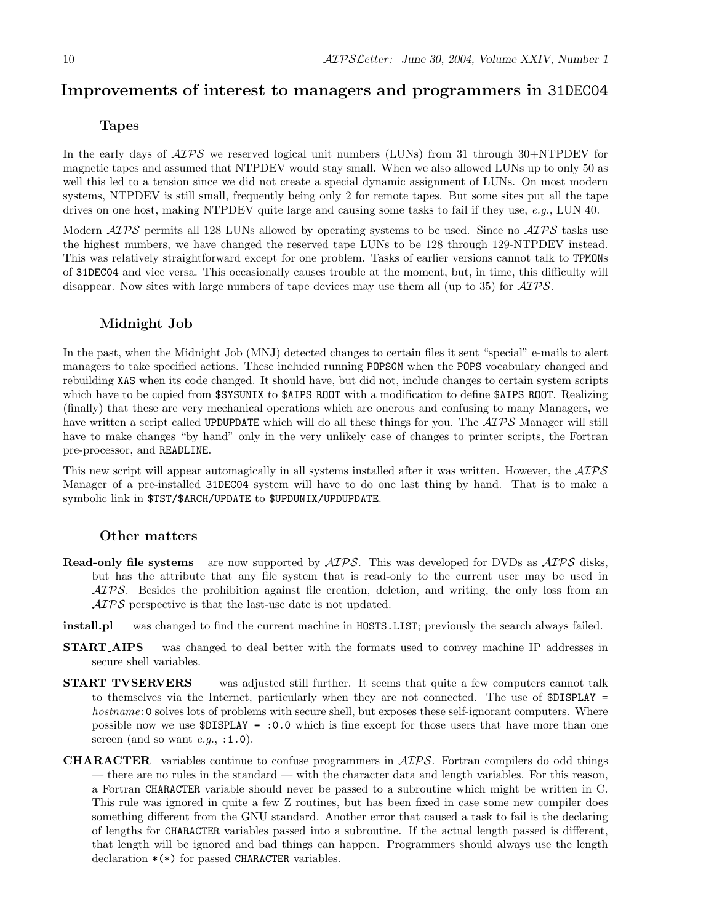# Improvements of interest to managers and programmers in 31DEC04

## Tapes

In the early days of  $\mathcal{AIPS}$  we reserved logical unit numbers (LUNs) from 31 through 30+NTPDEV for magnetic tapes and assumed that NTPDEV would stay small. When we also allowed LUNs up to only 50 as well this led to a tension since we did not create a special dynamic assignment of LUNs. On most modern systems, NTPDEV is still small, frequently being only 2 for remote tapes. But some sites put all the tape drives on one host, making NTPDEV quite large and causing some tasks to fail if they use, e.g., LUN 40.

Modern  $\langle \angle ATPS \rangle$  permits all 128 LUNs allowed by operating systems to be used. Since no  $\langle \angle ATPS \rangle$  tasks use the highest numbers, we have changed the reserved tape LUNs to be 128 through 129-NTPDEV instead. This was relatively straightforward except for one problem. Tasks of earlier versions cannot talk to TPMONs of 31DEC04 and vice versa. This occasionally causes trouble at the moment, but, in time, this difficulty will disappear. Now sites with large numbers of tape devices may use them all (up to 35) for  $\mathcal{AIPS}$ .

## Midnight Job

In the past, when the Midnight Job (MNJ) detected changes to certain files it sent "special" e-mails to alert managers to take specified actions. These included running POPSGN when the POPS vocabulary changed and rebuilding XAS when its code changed. It should have, but did not, include changes to certain system scripts which have to be copied from  $$SYSUNIX$  to  $$AIPS_R$ 00T with a modification to define  $$AIPS_R$ 00T. Realizing (finally) that these are very mechanical operations which are onerous and confusing to many Managers, we have written a script called UPDUPDATE which will do all these things for you. The  $\mathcal{ATPS}$  Manager will still have to make changes "by hand" only in the very unlikely case of changes to printer scripts, the Fortran pre-processor, and READLINE.

This new script will appear automagically in all systems installed after it was written. However, the  $\mathcal{AIPS}$ Manager of a pre-installed 31DEC04 system will have to do one last thing by hand. That is to make a symbolic link in \$TST/\$ARCH/UPDATE to \$UPDUNIX/UPDUPDATE.

#### Other matters

- **Read-only file systems** are now supported by  $\mathcal{A}TPS$ . This was developed for DVDs as  $\mathcal{A}TPS$  disks, but has the attribute that any file system that is read-only to the current user may be used in AIPS. Besides the prohibition against file creation, deletion, and writing, the only loss from an AIPS perspective is that the last-use date is not updated.
- install.pl was changed to find the current machine in HOSTS.LIST; previously the search always failed.
- START AIPS was changed to deal better with the formats used to convey machine IP addresses in secure shell variables.
- START TVSERVERS was adjusted still further. It seems that quite a few computers cannot talk to themselves via the Internet, particularly when they are not connected. The use of \$DISPLAY = hostname: 0 solves lots of problems with secure shell, but exposes these self-ignorant computers. Where possible now we use \$DISPLAY = :0.0 which is fine except for those users that have more than one screen (and so want  $e.g.,$ :1.0).
- CHARACTER variables continue to confuse programmers in AIPS. Fortran compilers do odd things — there are no rules in the standard — with the character data and length variables. For this reason, a Fortran CHARACTER variable should never be passed to a subroutine which might be written in C. This rule was ignored in quite a few Z routines, but has been fixed in case some new compiler does something different from the GNU standard. Another error that caused a task to fail is the declaring of lengths for CHARACTER variables passed into a subroutine. If the actual length passed is different, that length will be ignored and bad things can happen. Programmers should always use the length declaration \*(\*) for passed CHARACTER variables.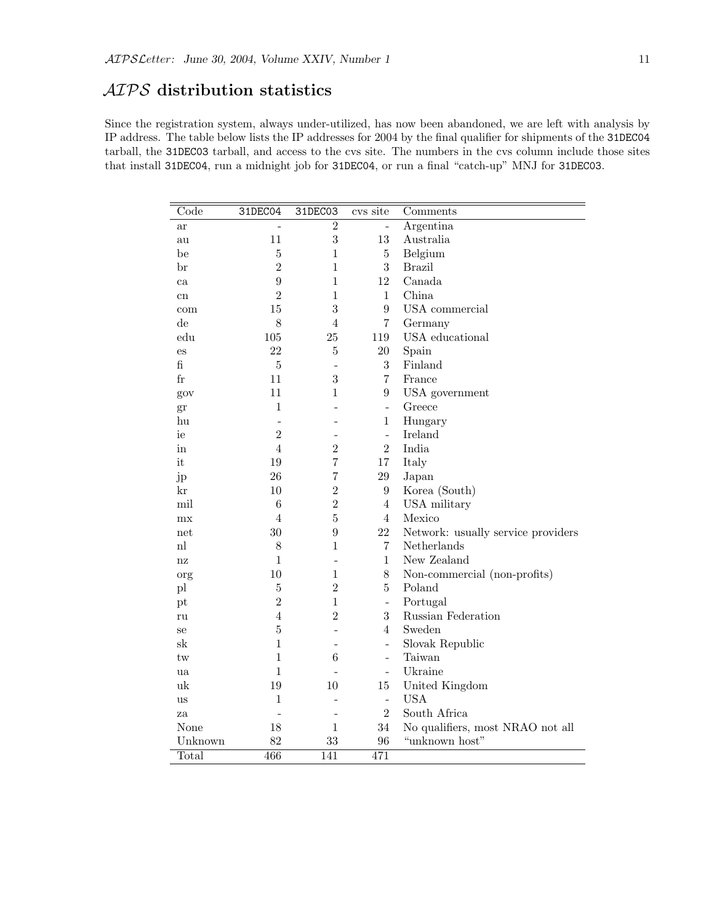# AIPS distribution statistics

Since the registration system, always under-utilized, has now been abandoned, we are left with analysis by IP address. The table below lists the IP addresses for 2004 by the final qualifier for shipments of the 31DEC04 tarball, the 31DEC03 tarball, and access to the cvs site. The numbers in the cvs column include those sites that install 31DEC04, run a midnight job for 31DEC04, or run a final "catch-up" MNJ for 31DEC03.

| Code                   | 31DEC04          | 31DEC03                  | cvs site                 | $\overline{\textrm{Comments}}$     |
|------------------------|------------------|--------------------------|--------------------------|------------------------------------|
| ar                     |                  | $\overline{2}$           |                          | Argentina                          |
| au                     | 11               | $\sqrt{3}$               | 13                       | Australia                          |
| be                     | $\overline{5}$   | $\mathbf 1$              | $\bf 5$                  | Belgium                            |
| br                     | $\overline{2}$   | $\mathbf 1$              | 3                        | <b>Brazil</b>                      |
| ca                     | $\boldsymbol{9}$ | $\mathbf{1}$             | 12                       | Canada                             |
| cn                     | $\overline{2}$   | $\mathbf{1}$             | $\mathbf{1}$             | China                              |
| com                    | 15               | 3                        | $\boldsymbol{9}$         | USA commercial                     |
| $\mathrm{d}\mathrm{e}$ | 8                | $\overline{4}$           | $\overline{7}$           | Germany                            |
| edu                    | 105              | 25                       | 119                      | USA educational                    |
| es                     | 22               | $\overline{5}$           | $20\,$                   | Spain                              |
| fi                     | $\bf 5$          | $\overline{a}$           | 3                        | Finland                            |
| $_{\rm fr}$            | 11               | 3                        | 7                        | France                             |
| gov                    | 11               | 1                        | 9                        | USA government                     |
| gr                     | $\mathbf{1}$     |                          | $\bar{\phantom{a}}$      | Greece                             |
| hu                     | $\overline{a}$   |                          | $\mathbf{1}$             | Hungary                            |
| ie                     | $\overline{2}$   |                          | $\overline{\phantom{0}}$ | Ireland                            |
| in                     | $\overline{4}$   | $\overline{2}$           | $\overline{2}$           | India                              |
| it                     | 19               | $\overline{7}$           | 17                       | Italy                              |
| jp                     | 26               | $\overline{7}$           | $29\,$                   | Japan                              |
| kr                     | 10               | $\overline{2}$           | $\boldsymbol{9}$         | Korea (South)                      |
| mil                    | $\,6$            | $\overline{2}$           | $\overline{4}$           | USA military                       |
| mx                     | $\overline{4}$   | $\overline{5}$           | $\overline{4}$           | Mexico                             |
| net                    | 30               | 9                        | 22                       | Network: usually service providers |
| n                      | 8                | 1                        | $\overline{7}$           | Netherlands                        |
| nz                     | $\mathbf{1}$     | $\overline{a}$           | $\mathbf{1}$             | New Zealand                        |
| org                    | 10               | $\mathbf 1$              | $8\,$                    | Non-commercial (non-profits)       |
| pl                     | $\bf 5$          | $\overline{2}$           | $\overline{5}$           | Poland                             |
| pt                     | $\overline{2}$   | $\mathbf 1$              | $\overline{a}$           | Portugal                           |
| ru                     | $\overline{4}$   | $\overline{2}$           | 3                        | Russian Federation                 |
| se                     | $\bf 5$          | $\overline{a}$           | $\overline{4}$           | Sweden                             |
| $_{\rm sk}$            | $\mathbf{1}$     | ۳                        | $\overline{\phantom{0}}$ | Slovak Republic                    |
| tw                     | $\overline{1}$   | 6                        | L.                       | Taiwan                             |
| ua                     | $\mathbf{1}$     |                          | $\overline{\phantom{a}}$ | Ukraine                            |
| uk                     | 19               | 10                       | $15\,$                   | United Kingdom                     |
| <b>us</b>              | $\mathbf{1}$     | $\overline{\phantom{a}}$ | $\frac{1}{2}$            | <b>USA</b>                         |
| za                     |                  |                          | $\overline{2}$           | South Africa                       |
| None                   | 18               | $\mathbf{1}$             | 34                       | No qualifiers, most NRAO not all   |
| Unknown                | 82               | 33                       | 96                       | "unknown host"                     |
| Total                  | 466              | 141                      | 471                      |                                    |